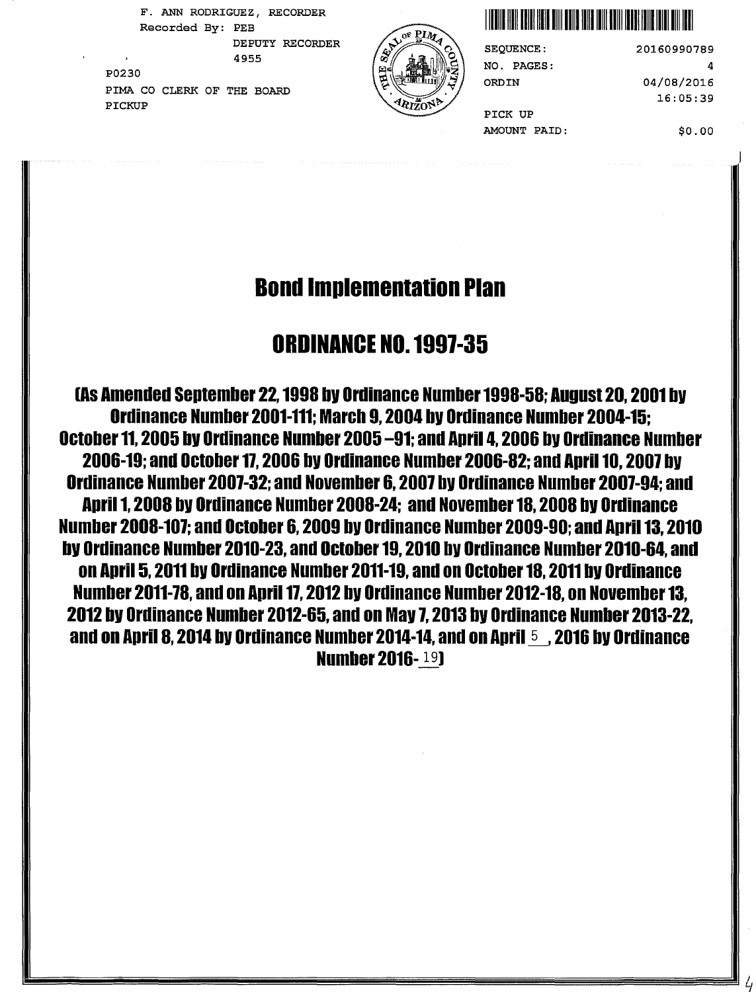F. ANN RODRIGUEZ, RECORDER P0230 DEPUTY RECORDER PIMA CO CLERK OF THE BOARD

PICKUP





20160990789 4 04/08/2016 16:05:39

PICK UP AMOUNT PAID:

NO. PAGES:

ORD IN

\$0.00

# Bond Implementation Plan

## ORDINANCE NO. 1991-35

LAS Amended September 22, 1998 by Ordinance Number 1998-58; August 20, 2001 by Ordinance Number 2001-111; March 9, 2004 bV Ordinance Number 2004-15; October 11, 2005 bV Ordinance Number 2005 -91; and April 4, 2006 bv Ordinance Number 2006-19; and October 11, 2006 bV Ordinance Number 2006-82; and April 10, 2007 bV Ordinance Number 2007-32; and November 6, 2007 bV Ordinance Number 2007-94; and April 1, 2008 bV Ordinance Number 2008-24; and November 18, 2008 bV Ordinance Number 2008-107; and October 6, 2009 bV Ordinance Number 2009-90; and April 13, 2010 bV Ordinance Number 2010-23, and October 19, 2010 bV Ordinance Number 2010-64, and on April 5, 2011 by Ordinance Number 2011-19, and on October 18, 2011 by Ordinance Number 2011-78, and on April 17, 2012 by Ordinance Number 2012-18, on November 13, 2012 bV Ordinance Number 2012-65, and on Mav 7, 2013 bv Ordinance Number 2013-22, and on April 8, 2014 by Ordinance Number 2014-14, and on April 5 , 2016 by Ordinance **Number 2016-19)**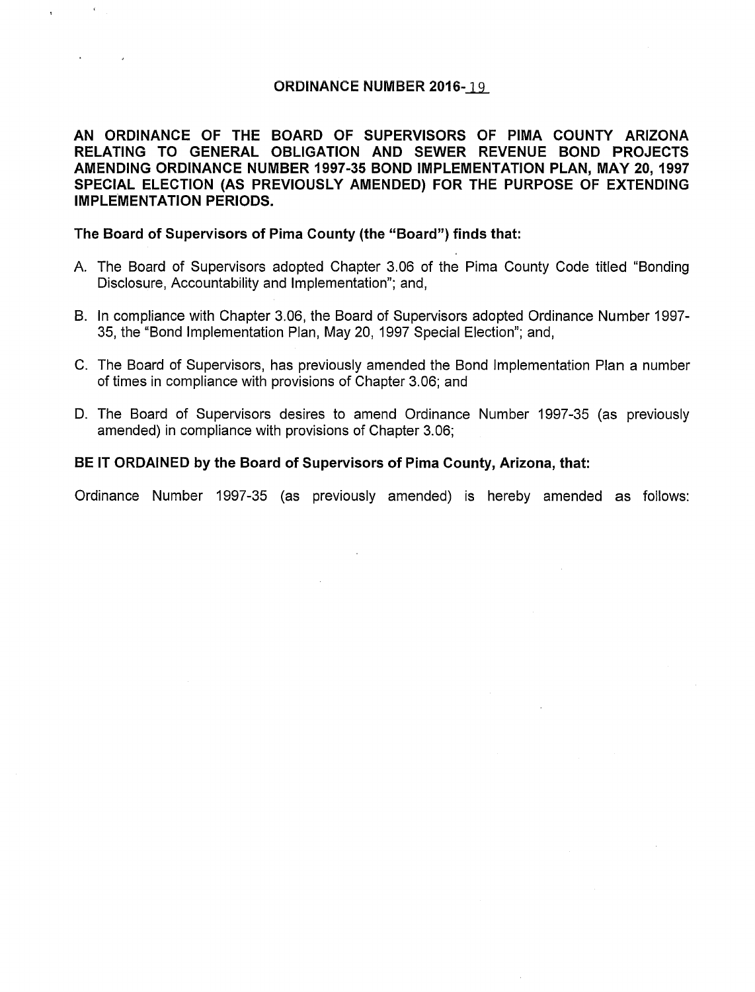#### ORDINANCE NUMBER 2016-19

AN ORDINANCE OF THE BOARD OF SUPERVISORS OF PIMA COUNTY ARIZONA RELATING TO GENERAL OBLIGATION AND SEWER REVENUE BOND PROJECTS AMENDING ORDINANCE NUMBER 1997-35 BOND IMPLEMENTATION PLAN, MAY 20, 1997 SPECIAL ELECTION (AS PREVIOUSLY AMENDED) FOR THE PURPOSE OF EXTENDING IMPLEMENTATION PERIODS.

#### The Board of Supervisors of Pima County (the "Board") finds that:

- A. The Board of Supervisors adopted Chapter 3.06 of the Pima County Code titled "Bonding Disclosure, Accountability and Implementation"; and,
- B. In compliance with Chapter 3.06, the Board of Supervisors adopted Ordinance Number 1997- 35, the "Bond Implementation Plan, May 20, 1997 Special Election"; and,
- C. The Board of Supervisors, has previously amended the Bond Implementation Plan a number of times in compliance with provisions of Chapter 3.06; and
- D. The Board of Supervisors desires to amend Ordinance Number 1997-35 (as previously amended) in compliance with provisions of Chapter 3.06;

#### BE IT ORDAINED by the Board of Supervisors of Pima County, Arizona, that:

Ordinance Number 1997-35 (as previously amended) is hereby amended as follows: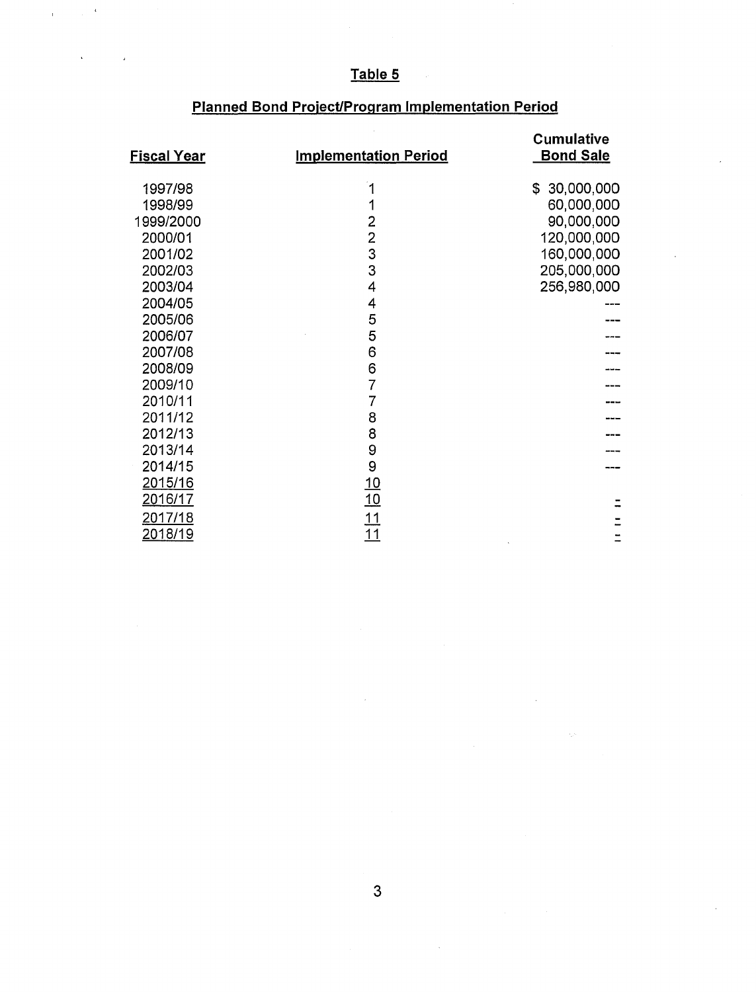### **Table 5**

 $\hat{\mathbf{r}}$  and  $\hat{\mathbf{r}}$ 

 $\bar{\mathbf{t}}$ 

| <b>Fiscal Year</b> | <b>Implementation Period</b> | <b>Cumulative</b><br><b>Bond Sale</b> |
|--------------------|------------------------------|---------------------------------------|
| 1997/98            | 1                            | \$30,000,000                          |
| 1998/99            | 1                            | 60,000,000                            |
| 1999/2000          |                              | 90,000,000                            |
| 2000/01            | $\frac{2}{3}$                | 120,000,000                           |
| 2001/02            |                              | 160,000,000                           |
| 2002/03            | 3                            | 205,000,000                           |
| 2003/04            | 4                            | 256,980,000                           |
| 2004/05            | 4                            |                                       |
| 2005/06            | 5                            |                                       |
| 2006/07            | 5                            |                                       |
| 2007/08            | 6                            |                                       |
| 2008/09            | 6                            |                                       |
| 2009/10            | $\overline{7}$               |                                       |
| 2010/11            | $\overline{7}$               |                                       |
| 2011/12            | 8                            |                                       |
| 2012/13            | 8                            |                                       |
| 2013/14            | 9                            |                                       |
| 2014/15            | 9                            |                                       |
| 2015/16            | $\frac{10}{10}$              |                                       |
| <u> 2016/17</u>    |                              |                                       |
| <u>2017/18</u>     | $\frac{11}{11}$              |                                       |
| <u>2018/19</u>     |                              |                                       |

### **Planned Bond Project/Program Implementation Period**